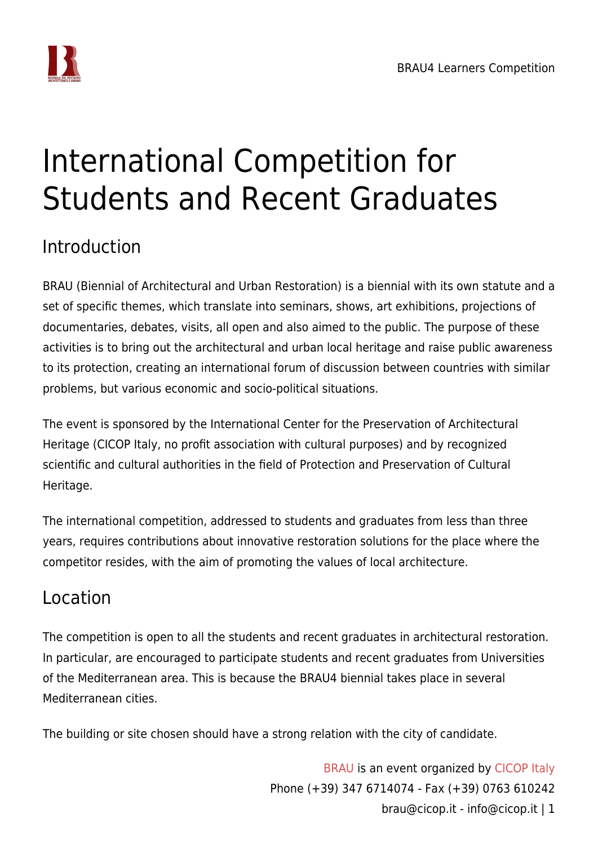

## International Competition for Students and Recent Graduates

### Introduction

BRAU (Biennial of Architectural and Urban Restoration) is a biennial with its own statute and a set of specific themes, which translate into seminars, shows, art exhibitions, projections of documentaries, debates, visits, all open and also aimed to the public. The purpose of these activities is to bring out the architectural and urban local heritage and raise public awareness to its protection, creating an international forum of discussion between countries with similar problems, but various economic and socio-political situations.

The event is sponsored by the International Center for the Preservation of Architectural Heritage (CICOP Italy, no profit association with cultural purposes) and by recognized scientific and cultural authorities in the field of Protection and Preservation of Cultural Heritage.

The international competition, addressed to students and graduates from less than three years, requires contributions about innovative restoration solutions for the place where the competitor resides, with the aim of promoting the values of local architecture.

### Location

The competition is open to all the students and recent graduates in architectural restoration. In particular, are encouraged to participate students and recent graduates from Universities of the Mediterranean area. This is because the BRAU4 biennial takes place in several Mediterranean cities.

The building or site chosen should have a strong relation with the city of candidate.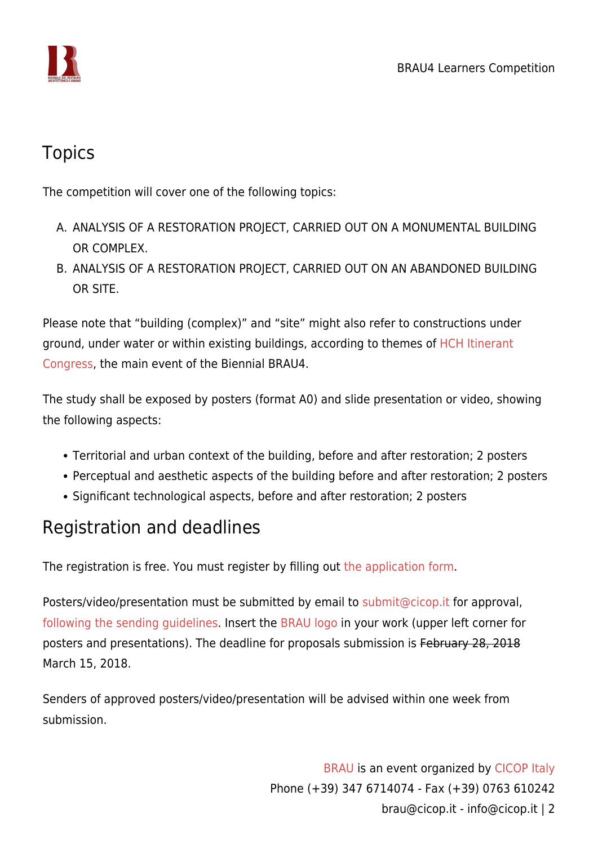

#### **Topics**

The competition will cover one of the following topics:

- A. ANALYSIS OF A RESTORATION PROJECT, CARRIED OUT ON A MONUMENTAL BUILDING OR COMPLEX.
- B. ANALYSIS OF A RESTORATION PROJECT, CARRIED OUT ON AN ABANDONED BUILDING OR SITE.

Please note that "building (complex)" and "site" might also refer to constructions under ground, under water or within existing buildings, according to themes of [HCH Itinerant](http://www.cicop.net/hch/) [Congress,](http://www.cicop.net/hch/) the main event of the Biennial BRAU4.

The study shall be exposed by posters (format A0) and slide presentation or video, showing the following aspects:

- Territorial and urban context of the building, before and after restoration; 2 posters
- Perceptual and aesthetic aspects of the building before and after restoration; 2 posters
- Significant technological aspects, before and after restoration; 2 posters

### Registration and deadlines

The registration is free. You must register by filling out [the application form](https://www.cicop.it/brau/en/brau4-competition-registration/).

Posters/video/presentation must be submitted by email to [submit@cicop.it](mailto:submit@cicop.it) for approval, [following the sending guidelines](https://www.cicop.it/brau/en/brau4-submission-instructions/#sending-document). Insert the [BRAU logo](https://www.cicop.it/brau/wp-content/uploads/2017/10/Logo-BRAU.new_.945.opt_.png) in your work (upper left corner for posters and presentations). The deadline for proposals submission is February 28, 2018 March 15, 2018.

Senders of approved posters/video/presentation will be advised within one week from submission.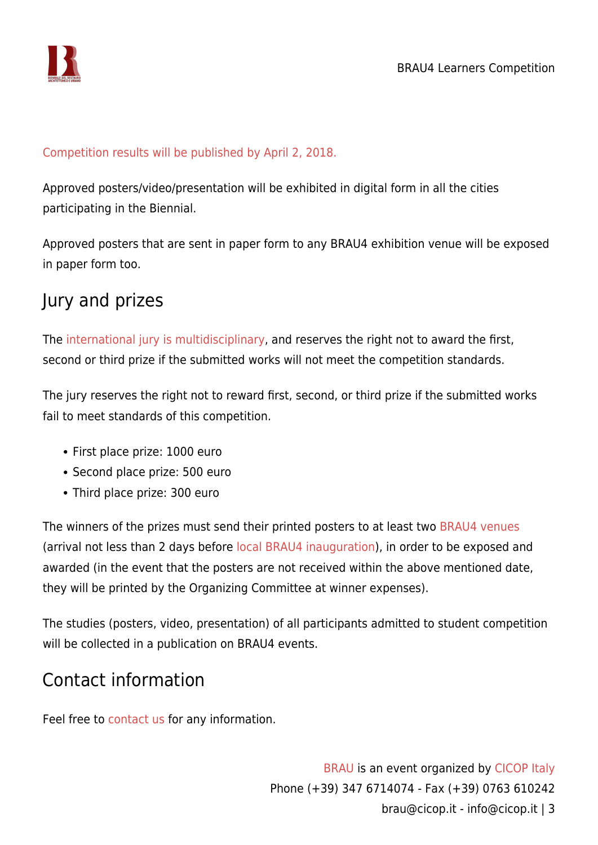

#### [Competition results will be published by April 2, 2018.](https://www.cicop.it/brau/en/brau4-student-competition/results/)

Approved posters/video/presentation will be exhibited in digital form in all the cities participating in the Biennial.

Approved posters that are sent in paper form to any BRAU4 exhibition venue will be exposed in paper form too.

#### Jury and prizes

The [international jury is multidisciplinary,](https://www.cicop.it/brau/en/brau4-student-competition/jury/) and reserves the right not to award the first, second or third prize if the submitted works will not meet the competition standards.

The jury reserves the right not to reward first, second, or third prize if the submitted works fail to meet standards of this competition.

- First place prize: 1000 euro
- Second place prize: 500 euro
- Third place prize: 300 euro

The winners of the prizes must send their printed posters to at least two [BRAU4 venues](https://www.cicop.it/brau/it/local-organizers-contact-info/) (arrival not less than 2 days before [local BRAU4 inauguration](https://www.cicop.it/brau/events/2018-04/)), in order to be exposed and awarded (in the event that the posters are not received within the above mentioned date, they will be printed by the Organizing Committee at winner expenses).

The studies (posters, video, presentation) of all participants admitted to student competition will be collected in a publication on BRAU4 events.

#### Contact information

Feel free to [contact us](https://www.cicop.it/brau/en/contact-info/) for any information.